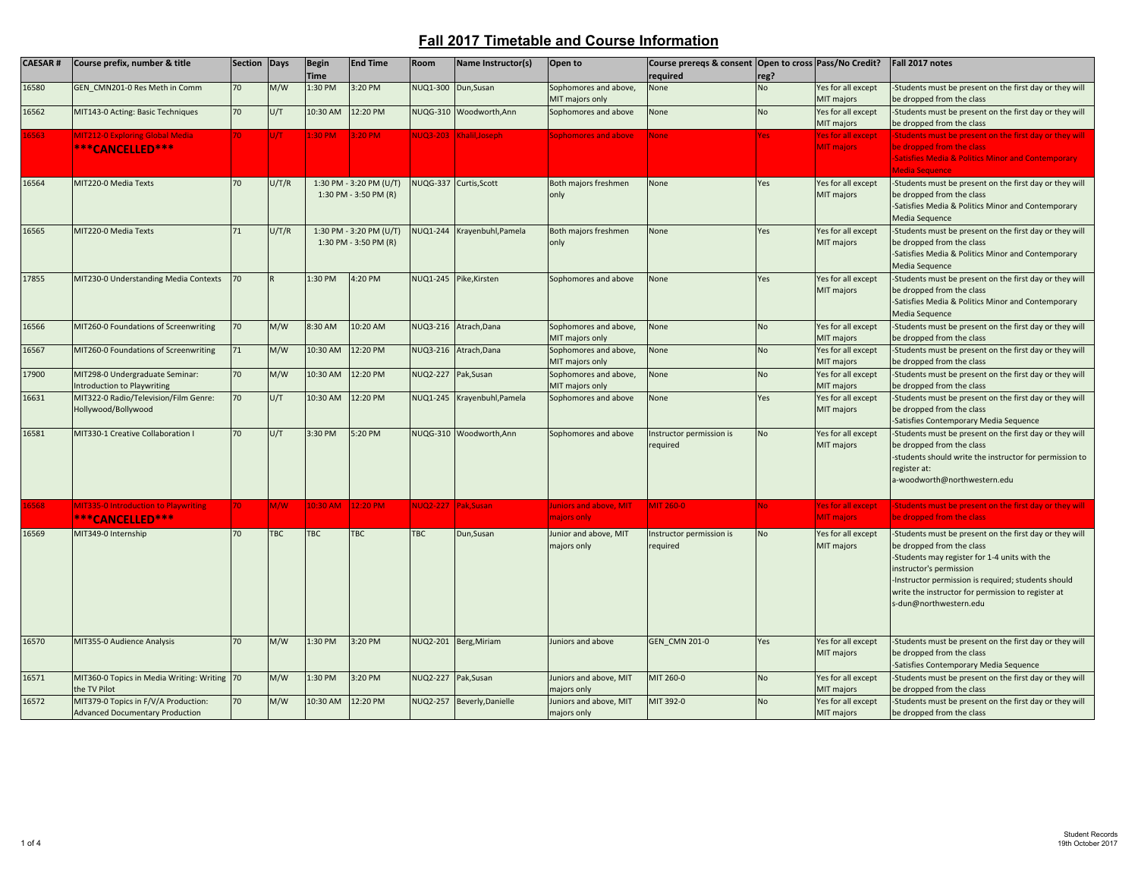| <b>CAESAR#</b> | Course prefix, number & title                                                  | Section Days |            | <b>Begin</b>  | <b>End Time</b>                                  | Room            | Name Instructor(s)          | Open to                                  | Course prereqs & consent Open to cross Pass/No Credit? |           |                                                | Fall 2017 notes                                                                                                                                                                                                                                                                                         |
|----------------|--------------------------------------------------------------------------------|--------------|------------|---------------|--------------------------------------------------|-----------------|-----------------------------|------------------------------------------|--------------------------------------------------------|-----------|------------------------------------------------|---------------------------------------------------------------------------------------------------------------------------------------------------------------------------------------------------------------------------------------------------------------------------------------------------------|
|                |                                                                                |              |            | <b>Time</b>   |                                                  |                 |                             |                                          | required                                               | reg?      |                                                |                                                                                                                                                                                                                                                                                                         |
| 16580          | GEN CMN201-0 Res Meth in Comm                                                  | 70           | M/W        | 1:30 PM       | 3:20 PM                                          | NUQ1-300        | Dun, Susan                  | Sophomores and above,<br>MIT majors only | None                                                   | <b>No</b> | Yes for all except<br>MIT majors               | -Students must be present on the first day or they will<br>be dropped from the class                                                                                                                                                                                                                    |
| 16562          | MIT143-0 Acting: Basic Techniques                                              | 70           | U/T        | 10:30 AM      | 12:20 PM                                         |                 | NUQG-310 Woodworth, Ann     | Sophomores and above                     | None                                                   | <b>No</b> | Yes for all except<br>MIT majors               | -Students must be present on the first day or they will<br>be dropped from the class                                                                                                                                                                                                                    |
| 6563           | MIT212-0 Exploring Global Media<br>***CANCELLED***                             | 70.          |            | <b>E30 PM</b> | :20 PM                                           |                 | VUQ3-203 Khalil, Joseph     | <b>Sophomores and above</b>              | <b>None</b>                                            | res.      | es for all except<br><b>MIT majors</b>         | Students must be present on the first day or they will<br>be dropped from the class<br><b>Satisfies Media &amp; Politics Minor and Contemporary</b><br><b>Media Sequence</b>                                                                                                                            |
| 16564          | MIT220-0 Media Texts                                                           | 70           | U/T/R      |               | 1:30 PM - 3:20 PM (U/T)<br>1:30 PM - 3:50 PM (R) |                 | NUQG-337 Curtis, Scott      | Both majors freshmen<br>only             | None                                                   | Yes       | Yes for all except<br>MIT majors               | -Students must be present on the first day or they will<br>be dropped from the class<br>-Satisfies Media & Politics Minor and Contemporary<br>Media Sequence                                                                                                                                            |
| 16565          | MIT220-0 Media Texts                                                           | 71           | U/T/R      |               | 1:30 PM - 3:20 PM (U/T)<br>1:30 PM - 3:50 PM (R) |                 | NUQ1-244 Krayenbuhl, Pamela | Both majors freshmen<br>only             | None                                                   | Yes       | Yes for all except<br>MIT majors               | -Students must be present on the first day or they will<br>be dropped from the class<br>-Satisfies Media & Politics Minor and Contemporary<br>Media Sequence                                                                                                                                            |
| 17855          | MIT230-0 Understanding Media Contexts                                          | 70           |            | 1:30 PM       | 4:20 PM                                          |                 | NUQ1-245 Pike, Kirsten      | Sophomores and above                     | None                                                   | Yes       | Yes for all except<br>MIT majors               | -Students must be present on the first day or they will<br>be dropped from the class<br>Satisfies Media & Politics Minor and Contemporary<br>Media Sequence                                                                                                                                             |
| 16566          | MIT260-0 Foundations of Screenwriting                                          | 70           | M/W        | 8:30 AM       | 10:20 AM                                         |                 | NUQ3-216 Atrach, Dana       | Sophomores and above,<br>MIT majors only | None                                                   | <b>No</b> | Yes for all except<br>MIT majors               | -Students must be present on the first day or they will<br>be dropped from the class                                                                                                                                                                                                                    |
| 16567          | MIT260-0 Foundations of Screenwriting                                          | 71           | M/W        | 10:30 AM      | 12:20 PM                                         |                 | NUQ3-216 Atrach, Dana       | Sophomores and above,<br>MIT majors only | None                                                   | <b>No</b> | Yes for all except<br>MIT majors               | Students must be present on the first day or they will<br>be dropped from the class                                                                                                                                                                                                                     |
| 17900          | MIT298-0 Undergraduate Seminar:<br>Introduction to Playwriting                 | 70           | M/W        | 10:30 AM      | 12:20 PM                                         |                 | NUQ2-227 Pak, Susan         | Sophomores and above,<br>MIT majors only | None                                                   | <b>No</b> | Yes for all except<br>MIT majors               | -Students must be present on the first day or they will<br>be dropped from the class                                                                                                                                                                                                                    |
| 16631          | MIT322-0 Radio/Television/Film Genre:<br>Hollywood/Bollywood                   | 70           | U/T        | 10:30 AM      | 12:20 PM                                         | NUQ1-245        | Krayenbuhl, Pamela          | Sophomores and above                     | None                                                   | Yes       | Yes for all except<br>MIT majors               | -Students must be present on the first day or they will<br>be dropped from the class<br>-Satisfies Contemporary Media Sequence                                                                                                                                                                          |
| 16581          | MIT330-1 Creative Collaboration I                                              | 70           | U/T        | 3:30 PM       | 5:20 PM                                          |                 | NUQG-310 Woodworth, Ann     | Sophomores and above                     | Instructor permission is<br>required                   | <b>No</b> | Yes for all except<br>MIT majors               | Students must be present on the first day or they will<br>be dropped from the class<br>-students should write the instructor for permission to<br>register at:<br>a-woodworth@northwestern.edu                                                                                                          |
| 6568           | MIT335-0 Introduction to Playwriting<br>***CANCELLED***                        | 70.          | M/W        | 10:30 AM      | 12:20 PM                                         |                 | VUQ2-227 Pak, Susan         | luniors and above, MIT<br>majors only    | <b>MIT 260-0</b>                                       | <b>No</b> | <b>Yes for all except</b><br><b>MIT</b> majors | Students must be present on the first day or they will<br>be dropped from the class                                                                                                                                                                                                                     |
| 16569          | MIT349-0 Internship                                                            | 70           | <b>TBC</b> | TBC           | <b>TBC</b>                                       | <b>TBC</b>      | Dun, Susan                  | Junior and above, MIT<br>majors only     | Instructor permission is<br>required                   | <b>No</b> | Yes for all except<br>MIT majors               | -Students must be present on the first day or they will<br>be dropped from the class<br>-Students may register for 1-4 units with the<br>instructor's permission<br>-Instructor permission is required; students should<br>write the instructor for permission to register at<br>s-dun@northwestern.edu |
| 16570          | MIT355-0 Audience Analysis                                                     | 70           | M/W        | 1:30 PM       | 3:20 PM                                          |                 | NUQ2-201 Berg, Miriam       | Juniors and above                        | <b>GEN CMN 201-0</b>                                   | Yes       | Yes for all except<br>MIT majors               | -Students must be present on the first day or they will<br>be dropped from the class<br>Satisfies Contemporary Media Sequence                                                                                                                                                                           |
| 16571          | MIT360-0 Topics in Media Writing: Writing 70<br>the TV Pilot                   |              | M/W        | 1:30 PM       | 3:20 PM                                          | <b>NUQ2-227</b> | Pak, Susan                  | Juniors and above, MIT<br>majors only    | MIT 260-0                                              | <b>No</b> | es for all except<br>MIT majors                | -Students must be present on the first day or they will<br>be dropped from the class                                                                                                                                                                                                                    |
| 16572          | MIT379-0 Topics in F/V/A Production:<br><b>Advanced Documentary Production</b> | 70           | M/W        | 10:30 AM      | 12:20 PM                                         |                 | NUQ2-257 Beverly, Danielle  | Juniors and above, MIT<br>majors only    | MIT 392-0                                              | <b>No</b> | Yes for all except<br>MIT majors               | -Students must be present on the first day or they will<br>be dropped from the class                                                                                                                                                                                                                    |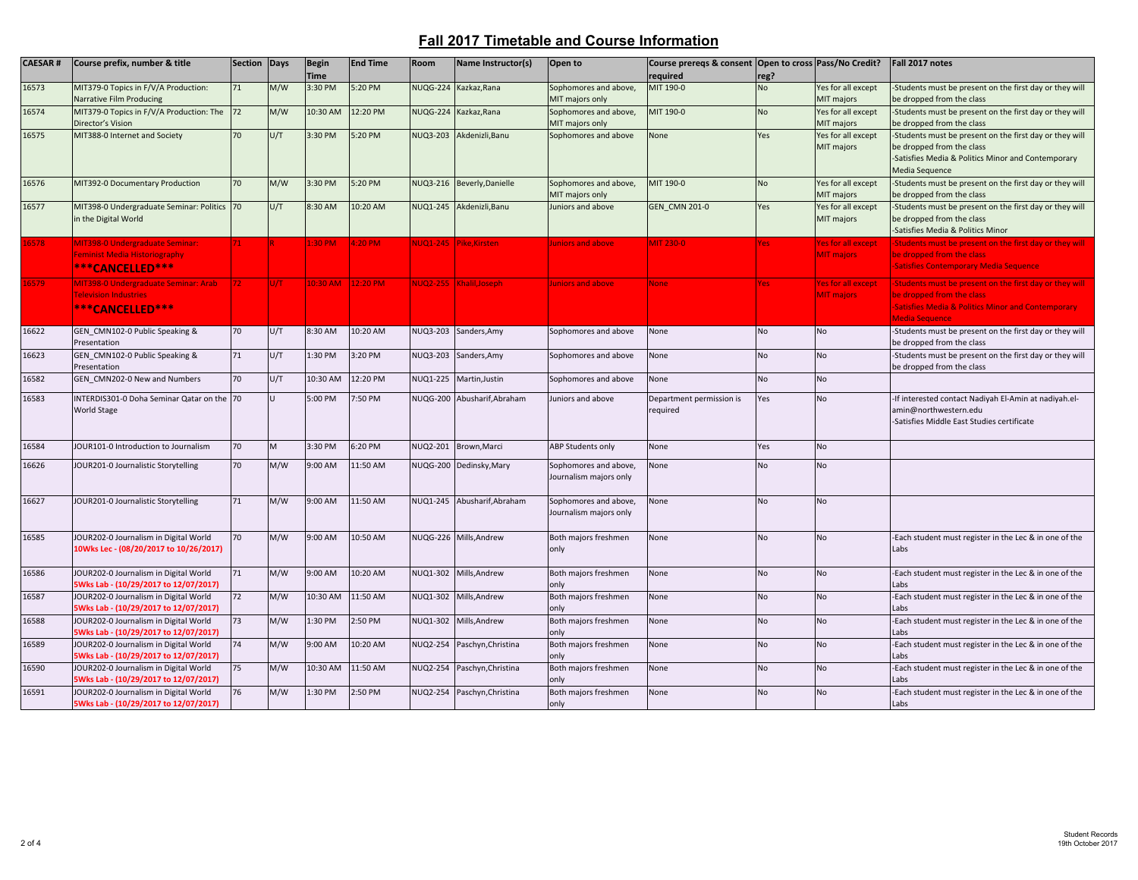| <b>CAESAR#</b> | Course prefix, number & title                                                                     | <b>Section</b> | Days   | <b>Begin</b><br><b>Time</b> | <b>End Time</b> | Room            | Name Instructor(s)          | Open to                                                     | Course preregs & consent Open to cross Pass/No Credit?<br>required | reg?      |                                                       | Fall 2017 notes                                                                                                                                                       |
|----------------|---------------------------------------------------------------------------------------------------|----------------|--------|-----------------------------|-----------------|-----------------|-----------------------------|-------------------------------------------------------------|--------------------------------------------------------------------|-----------|-------------------------------------------------------|-----------------------------------------------------------------------------------------------------------------------------------------------------------------------|
| 16573          | MIT379-0 Topics in F/V/A Production:                                                              | 71             | M/W    | 3:30 PM                     | 5:20 PM         | <b>NUQG-224</b> | Kazkaz, Rana                | Sophomores and above,                                       | MIT 190-0                                                          | No        | Yes for all except                                    | -Students must be present on the first day or they will                                                                                                               |
| 16574          | Narrative Film Producing<br>MIT379-0 Topics in F/V/A Production: The<br>Director's Vision         | 72             | M/W    | 10:30 AM                    | 12:20 PM        | <b>NUQG-224</b> | Kazkaz, Rana                | MIT majors only<br>Sophomores and above,<br>MIT majors only | MIT 190-0                                                          | <b>No</b> | MIT majors<br>Yes for all except<br><b>MIT majors</b> | be dropped from the class<br>-Students must be present on the first day or they will<br>be dropped from the class                                                     |
| 16575          | MIT388-0 Internet and Society                                                                     | 70             | U/T    | 3:30 PM                     | 5:20 PM         | NUQ3-203        | Akdenizli, Banu             | Sophomores and above                                        | None                                                               | Yes       | Yes for all except<br>MIT majors                      | -Students must be present on the first day or they will<br>be dropped from the class<br>-Satisfies Media & Politics Minor and Contemporary<br><b>Media Sequence</b>   |
| 16576          | MIT392-0 Documentary Production                                                                   | 70             | M/W    | 3:30 PM                     | 5:20 PM         | <b>NUQ3-216</b> | Beverly, Danielle           | Sophomores and above,<br>MIT majors only                    | MIT 190-0                                                          | <b>No</b> | Yes for all except<br>MIT majors                      | -Students must be present on the first day or they will<br>be dropped from the class                                                                                  |
| 16577          | MIT398-0 Undergraduate Seminar: Politics 70<br>in the Digital World                               |                | U/T    | 8:30 AM                     | 10:20 AM        | <b>NUQ1-245</b> | Akdenizli, Banu             | Juniors and above                                           | <b>GEN CMN 201-0</b>                                               | Yes       | Yes for all except<br>MIT majors                      | -Students must be present on the first day or they will<br>be dropped from the class<br>-Satisfies Media & Politics Minor                                             |
| 16578          | <b>MIT398-0 Undergraduate Seminar:</b><br><b>Eeminist Media Historiography</b><br>***CANCELLED*** |                |        | 1:30 PM                     | 4:20 PM         |                 | NUQ1-245 Pike, Kirsten      | <b>Juniors and above</b>                                    | <b>MIT 230-0</b>                                                   | Yes       | Yes for all except<br><b>MIT</b> majors               | Students must be present on the first day or they will<br>be dropped from the class<br><b>Satisfies Contemporary Media Sequence</b>                                   |
| 16579          | MIT398-0 Undergraduate Seminar: Arab<br><b>Felevision Industries</b><br>***CANCELLED***           | $72 -$         | lu/t - | 10:30 AM                    | 12:20 PM        |                 | NUQ2-255 Khalil, Joseph     | <b>Juniors and above</b>                                    | <b>None</b>                                                        | Yes       | <b>Yes for all except</b><br><b>MIT majors</b>        | Students must be present on the first day or they will<br>be dropped from the class<br><b>Satisfies Media &amp; Politics Minor and Contemporary</b><br>Media Sequence |
| 16622          | GEN CMN102-0 Public Speaking &<br>Presentation                                                    | 70             | U/T    | 8:30 AM                     | 10:20 AM        | NUQ3-203        | Sanders, Amy                | Sophomores and above                                        | None                                                               | <b>No</b> | <b>No</b>                                             | -Students must be present on the first day or they will<br>be dropped from the class                                                                                  |
| 16623          | GEN CMN102-0 Public Speaking &<br>Presentation                                                    | 71             | U/T    | 1:30 PM                     | 3:20 PM         | NUQ3-203        | Sanders, Amy                | Sophomores and above                                        | None                                                               | <b>No</b> | <b>No</b>                                             | -Students must be present on the first day or they will<br>be dropped from the class                                                                                  |
| 16582          | GEN CMN202-0 New and Numbers                                                                      | 70             | U/T    | 10:30 AM                    | 12:20 PM        | NUQ1-225        | Martin, Justin              | Sophomores and above                                        | None                                                               | <b>No</b> | <b>No</b>                                             |                                                                                                                                                                       |
| 16583          | INTERDIS301-0 Doha Seminar Qatar on the 70<br><b>World Stage</b>                                  |                |        | 5:00 PM                     | 7:50 PM         | <b>NUQG-200</b> | Abusharif, Abraham          | Juniors and above                                           | Department permission is<br>required                               | Yes       | No                                                    | -If interested contact Nadiyah El-Amin at nadiyah.el-<br>amin@northwestern.edu<br>-Satisfies Middle East Studies certificate                                          |
| 16584          | JOUR101-0 Introduction to Journalism                                                              | 70             | M      | 3:30 PM                     | 6:20 PM         | NUQ2-201        | Brown, Marci                | <b>ABP Students only</b>                                    | None                                                               | Yes       | <b>No</b>                                             |                                                                                                                                                                       |
| 16626          | JOUR201-0 Journalistic Storytelling                                                               | 70             | M/W    | 9:00 AM                     | 11:50 AM        |                 | NUQG-200 Dedinsky, Mary     | Sophomores and above,<br>Journalism majors only             | None                                                               | No        | No                                                    |                                                                                                                                                                       |
| 16627          | JOUR201-0 Journalistic Storytelling                                                               | 71             | M/W    | 9:00 AM                     | 11:50 AM        |                 | NUQ1-245 Abusharif, Abraham | Sophomores and above,<br>Journalism majors only             | None                                                               | No        | <b>No</b>                                             |                                                                                                                                                                       |
| 16585          | JOUR202-0 Journalism in Digital World<br>10Wks Lec - (08/20/2017 to 10/26/2017)                   | 70             | M/W    | 9:00 AM                     | 10:50 AM        | <b>NUQG-226</b> | Mills, Andrew               | Both majors freshmen<br>only                                | None                                                               | No.       | <b>No</b>                                             | -Each student must register in the Lec & in one of the<br>Labs                                                                                                        |
| 16586          | JOUR202-0 Journalism in Digital World<br>5Wks Lab - (10/29/2017 to 12/07/2017)                    | 71             | M/W    | 9:00 AM                     | 10:20 AM        | NUQ1-302        | Mills.Andrew                | Both majors freshmen<br>only                                | None                                                               | <b>No</b> | <b>No</b>                                             | -Each student must register in the Lec & in one of the<br>Labs                                                                                                        |
| 16587          | JOUR202-0 Journalism in Digital World                                                             | 72             | M/W    | 10:30 AM                    | 11:50 AM        | NUQ1-302        | Mills, Andrew               | Both majors freshmen                                        | None                                                               | No        | <b>No</b>                                             | Each student must register in the Lec & in one of the                                                                                                                 |
| 16588          | 5Wks Lab - (10/29/2017 to 12/07/2017)<br>JOUR202-0 Journalism in Digital World                    | 73             | M/W    | 1:30 PM                     | 2:50 PM         | NUQ1-302        | Mills, Andrew               | only<br>Both majors freshmen                                | None                                                               | No        | No                                                    | Labs<br>-Each student must register in the Lec & in one of the                                                                                                        |
|                | 5Wks Lab - (10/29/2017 to 12/07/2017)                                                             |                |        |                             |                 |                 |                             | only                                                        |                                                                    |           |                                                       | Labs                                                                                                                                                                  |
| 16589          | JOUR202-0 Journalism in Digital World<br>5Wks Lab - (10/29/2017 to 12/07/2017)                    | 74             | M/W    | 9:00 AM                     | 10:20 AM        | <b>NUQ2-254</b> | Paschyn, Christina          | Both majors freshmen<br>only                                | None                                                               | <b>No</b> | <b>No</b>                                             | -Each student must register in the Lec & in one of the<br>Labs                                                                                                        |
| 16590          | JOUR202-0 Journalism in Digital World<br>5Wks Lab - (10/29/2017 to 12/07/2017)                    | 75             | M/W    | 10:30 AM                    | 11:50 AM        | NUQ2-254        | Paschyn, Christina          | Both majors freshmen<br>only                                | None                                                               | No        | <b>No</b>                                             | -Each student must register in the Lec & in one of the<br>Labs                                                                                                        |
| 16591          | JOUR202-0 Journalism in Digital World<br>5Wks Lab - (10/29/2017 to 12/07/2017)                    | 76             | M/W    | 1:30 PM                     | 2:50 PM         | NUQ2-254        | Paschyn, Christina          | Both majors freshmen<br>only                                | None                                                               | <b>No</b> | <b>No</b>                                             | -Each student must register in the Lec & in one of the<br>Labs                                                                                                        |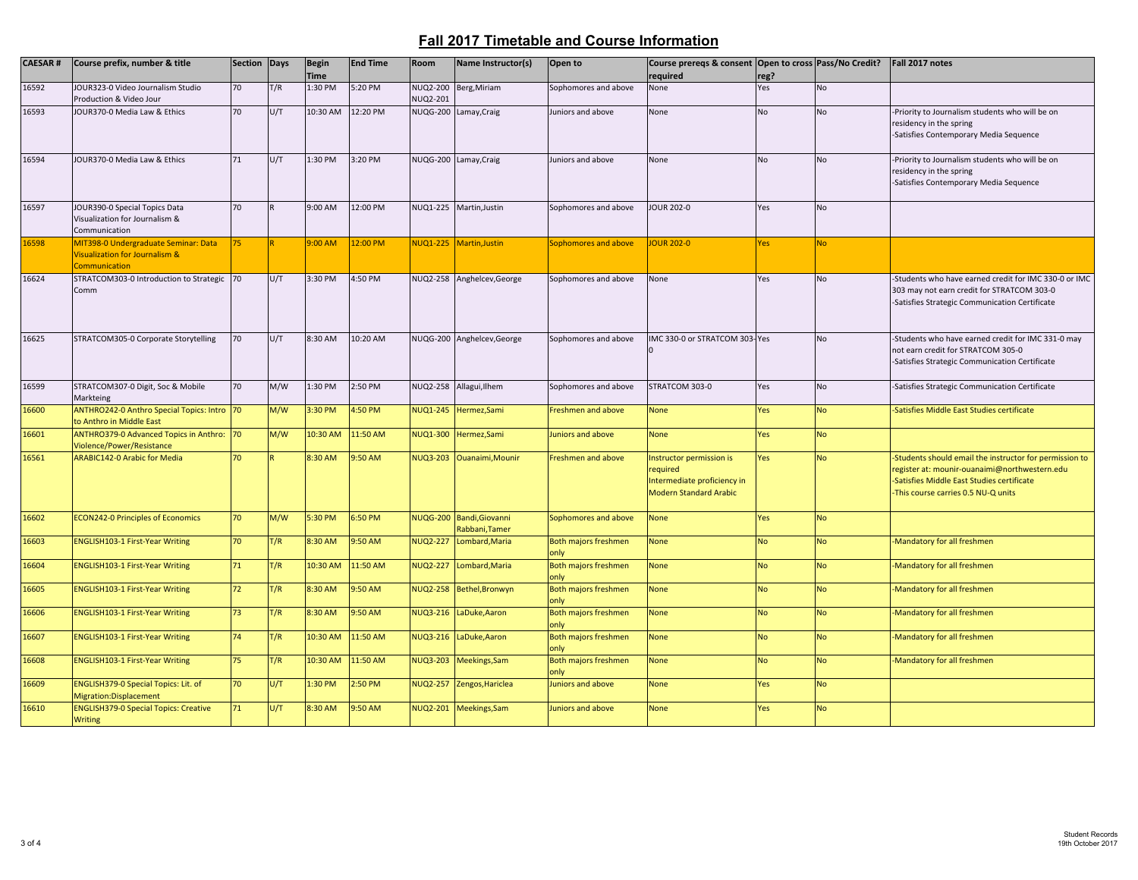| <b>CAESAR#</b> | Course prefix, number & title                                                                      | Section Days |     | <b>Begin</b><br><b>Time</b> | <b>End Time</b> | Room                 | Name Instructor(s)                         | Open to                             | Course preregs & consent Open to cross Pass/No Credit?<br>required                                   | reg?      |           | Fall 2017 notes                                                                                                                                                                             |
|----------------|----------------------------------------------------------------------------------------------------|--------------|-----|-----------------------------|-----------------|----------------------|--------------------------------------------|-------------------------------------|------------------------------------------------------------------------------------------------------|-----------|-----------|---------------------------------------------------------------------------------------------------------------------------------------------------------------------------------------------|
| 16592          | JOUR323-0 Video Journalism Studio<br>Production & Video Jour                                       | 70           | T/R | 1:30 PM                     | 5:20 PM         | NUQ2-200<br>NUQ2-201 | Berg, Miriam                               | Sophomores and above                | None                                                                                                 | Yes       | <b>No</b> |                                                                                                                                                                                             |
| 16593          | JOUR370-0 Media Law & Ethics                                                                       | 70           | U/T | 10:30 AM                    | 12:20 PM        |                      | NUQG-200 Lamay, Craig                      | Juniors and above                   | None                                                                                                 | No        | <b>No</b> | -Priority to Journalism students who will be on<br>residency in the spring<br>-Satisfies Contemporary Media Sequence                                                                        |
| 16594          | JOUR370-0 Media Law & Ethics                                                                       | 71           | U/T | 1:30 PM                     | 3:20 PM         |                      | NUQG-200 Lamay, Craig                      | Juniors and above                   | None                                                                                                 | <b>No</b> | No        | -Priority to Journalism students who will be on<br>residency in the spring<br>-Satisfies Contemporary Media Sequence                                                                        |
| 16597          | JOUR390-0 Special Topics Data<br>Visualization for Journalism &<br>Communication                   | 70           |     | 9:00 AM                     | 12:00 PM        |                      | NUQ1-225 Martin, Justin                    | Sophomores and above                | JOUR 202-0                                                                                           | Yes       | No        |                                                                                                                                                                                             |
| 16598          | MIT398-0 Undergraduate Seminar: Data<br><b>Visualization for Journalism &amp;</b><br>Communication | 75           |     | 0.004 <sub>0</sub>          | 12:00 PM        |                      | NUQ1-225   Martin, Justin                  | Sophomores and above                | <b>JOUR 202-0</b>                                                                                    | Yes       | <b>No</b> |                                                                                                                                                                                             |
| 16624          | STRATCOM303-0 Introduction to Strategic 70<br>Comm                                                 |              | U/T | 3:30 PM                     | 4:50 PM         | NUQ2-258             | Anghelcev, George                          | Sophomores and above                | None                                                                                                 | Yes       | <b>No</b> | -Students who have earned credit for IMC 330-0 or IMC<br>303 may not earn credit for STRATCOM 303-0<br>-Satisfies Strategic Communication Certificate                                       |
| 16625          | STRATCOM305-0 Corporate Storytelling                                                               | 70           | U/T | 8:30 AM                     | 10:20 AM        |                      | NUQG-200 Anghelcev, George                 | Sophomores and above                | IMC 330-0 or STRATCOM 303-Yes                                                                        |           | No        | -Students who have earned credit for IMC 331-0 may<br>not earn credit for STRATCOM 305-0<br>-Satisfies Strategic Communication Certificate                                                  |
| 16599          | STRATCOM307-0 Digit, Soc & Mobile<br>Markteing                                                     | 70           | M/W | 1:30 PM                     | 2:50 PM         | NUQ2-258             | Allagui, Ilhem                             | Sophomores and above                | STRATCOM 303-0                                                                                       | Yes       | No        | -Satisfies Strategic Communication Certificate                                                                                                                                              |
| 16600          | ANTHRO242-0 Anthro Special Topics: Intro 70<br>to Anthro in Middle East                            |              | M/W | 3:30 PM                     | 4:50 PM         | <b>NUQ1-245</b>      | Hermez, Sami                               | <b>Freshmen and above</b>           | <b>None</b>                                                                                          | Yes       | <b>No</b> | Satisfies Middle East Studies certificate                                                                                                                                                   |
| 16601          | ANTHRO379-0 Advanced Topics in Anthro: 70<br>Violence/Power/Resistance                             |              | M/W | 10:30 AM                    | 11:50 AM        | NUQ1-300             | Hermez, Sami                               | Juniors and above                   | <b>None</b>                                                                                          | Yes       | <b>No</b> |                                                                                                                                                                                             |
| 16561          | <b>ARABIC142-0 Arabic for Media</b>                                                                | 70           |     | 8:30 AM                     | 9:50 AM         |                      | NUQ3-203 Ouanaimi, Mounir                  | <b>Freshmen and above</b>           | Instructor permission is<br>required<br>Intermediate proficiency in<br><b>Modern Standard Arabic</b> | Yes       | <b>No</b> | -Students should email the instructor for permission to<br>register at: mounir-ouanaimi@northwestern.edu<br>Satisfies Middle East Studies certificate<br>This course carries 0.5 NU-Q units |
| 16602          | <b>ECON242-0 Principles of Economics</b>                                                           | 70           | M/W | 5:30 PM                     | 6:50 PM         |                      | NUQG-200 Bandi, Giovanni<br>Rabbani, Tamer | Sophomores and above                | <b>None</b>                                                                                          | Yes       | <b>No</b> |                                                                                                                                                                                             |
| 16603          | <b>ENGLISH103-1 First-Year Writing</b>                                                             | 70           | T/R | 8:30 AM                     | 9:50 AM         | NUQ2-227             | Lombard, Maria                             | <b>Both majors freshmen</b><br>only | <b>None</b>                                                                                          | <b>No</b> | <b>No</b> | Mandatory for all freshmen                                                                                                                                                                  |
| 16604          | <b>ENGLISH103-1 First-Year Writing</b>                                                             | 71           | T/R | 10:30 AM                    | 11:50 AM        | NUQ2-227             | Lombard, Maria                             | <b>Both majors freshmen</b><br>only | <b>None</b>                                                                                          | <b>No</b> | <b>No</b> | Mandatory for all freshmen                                                                                                                                                                  |
| 16605          | <b>ENGLISH103-1 First-Year Writing</b>                                                             | 72           | T/R | 8:30 AM                     | 9:50 AM         | NUQ2-258             | Bethel, Bronwyn                            | Both majors freshmen<br>only        | <b>None</b>                                                                                          | <b>No</b> | <b>No</b> | Mandatory for all freshmen                                                                                                                                                                  |
| 16606          | ENGLISH103-1 First-Year Writing                                                                    | 73           | T/R | 8:30 AM                     | 9:50 AM         | NUQ3-216             | LaDuke, Aaron                              | Both majors freshmen<br>only        | <b>None</b>                                                                                          | <b>No</b> | <b>No</b> | Mandatory for all freshmen                                                                                                                                                                  |
| 16607          | <b>ENGLISH103-1 First-Year Writing</b>                                                             | 74           | T/R | 10:30 AM                    | 11:50 AM        | <b>NUQ3-216</b>      | LaDuke, Aaron                              | Both majors freshmen<br>only        | <b>None</b>                                                                                          | <b>No</b> | <b>No</b> | Mandatory for all freshmen                                                                                                                                                                  |
| 16608          | <b>ENGLISH103-1 First-Year Writing</b>                                                             | 75           | T/R | 10:30 AM                    | 11:50 AM        | NUQ3-203             | Meekings, Sam                              | <b>Both majors freshmen</b><br>only | <b>None</b>                                                                                          | <b>No</b> | <b>No</b> | Mandatory for all freshmen                                                                                                                                                                  |
| 16609          | ENGLISH379-0 Special Topics: Lit. of<br>Migration:Displacement                                     | 70           | U/T | 1:30 PM                     | 2:50 PM         | NUQ2-257             | Zengos, Hariclea                           | Juniors and above                   | <b>None</b>                                                                                          | Yes       | <b>No</b> |                                                                                                                                                                                             |
| 16610          | <b>ENGLISH379-0 Special Topics: Creative</b><br><b>Writing</b>                                     | 71           | U/T | 8:30 AM                     | 9:50 AM         |                      | NUQ2-201 Meekings, Sam                     | Juniors and above                   | <b>None</b>                                                                                          | Yes       | <b>No</b> |                                                                                                                                                                                             |